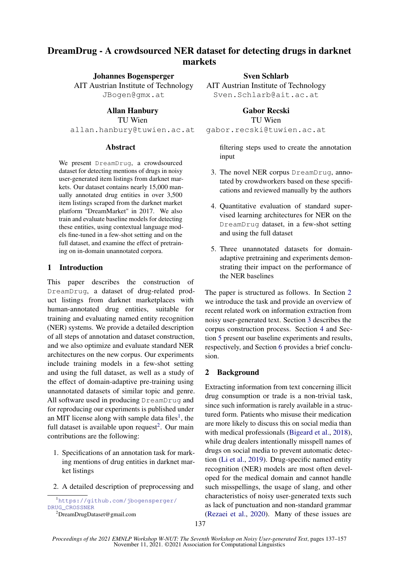## DreamDrug - A crowdsourced NER dataset for detecting drugs in darknet markets

Johannes Bogensperger AIT Austrian Institute of Technology JBogen@gmx.at

Allan Hanbury TU Wien allan.hanbury@tuwien.ac.at

#### **Abstract**

We present DreamDrug, a crowdsourced dataset for detecting mentions of drugs in noisy user-generated item listings from darknet markets. Our dataset contains nearly 15,000 manually annotated drug entities in over 3,500 item listings scraped from the darknet market platform "DreamMarket" in 2017. We also train and evaluate baseline models for detecting these entities, using contextual language models fine-tuned in a few-shot setting and on the full dataset, and examine the effect of pretraining on in-domain unannotated corpora.

#### 1 Introduction

This paper describes the construction of DreamDrug, a dataset of drug-related product listings from darknet marketplaces with human-annotated drug entities, suitable for training and evaluating named entity recognition (NER) systems. We provide a detailed description of all steps of annotation and dataset construction, and we also optimize and evaluate standard NER architectures on the new corpus. Our experiments include training models in a few-shot setting and using the full dataset, as well as a study of the effect of domain-adaptive pre-training using unannotated datasets of similar topic and genre. All software used in producing DreamDrug and for reproducing our experiments is published under an MIT license along with sample data files<sup>1</sup>, the full dataset is available upon request<sup>2</sup>. Our main contributions are the following:

- 1. Specifications of an annotation task for marking mentions of drug entities in darknet market listings
- 2. A detailed description of preprocessing and

<sup>1</sup>https://github.com/jbogensperger/ DRUG\_CROSSNER

Sven Schlarb

AIT Austrian Institute of Technology Sven.Schlarb@ait.ac.at

> Gabor Recski TU Wien

gabor.recski@tuwien.ac.at

filtering steps used to create the annotation input

- 3. The novel NER corpus DreamDrug, annotated by crowdworkers based on these specifications and reviewed manually by the authors
- 4. Quantitative evaluation of standard supervised learning architectures for NER on the DreamDrug dataset, in a few-shot setting and using the full dataset
- 5. Three unannotated datasets for domainadaptive pretraining and experiments demonstrating their impact on the performance of the NER baselines

The paper is structured as follows. In Section 2 we introduce the task and provide an overview of recent related work on information extraction from noisy user-generated text. Section 3 describes the corpus construction process. Section 4 and Section 5 present our baseline experiments and results, respectively, and Section 6 provides a brief conclusion.

## 2 Background

Extracting information from text concerning illicit drug consumption or trade is a non-trivial task, since such information is rarely available in a structured form. Patients who misuse their medication are more likely to discuss this on social media than with medical professionals (Bigeard et al., 2018), while drug dealers intentionally misspell names of drugs on social media to prevent automatic detection (Li et al., 2019). Drug-specific named entity recognition (NER) models are most often developed for the medical domain and cannot handle such misspellings, the usage of slang, and other characteristics of noisy user-generated texts such as lack of punctuation and non-standard grammar (Rezaei et al., 2020). Many of these issues are

<sup>2</sup>DreamDrugDataset@gmail.com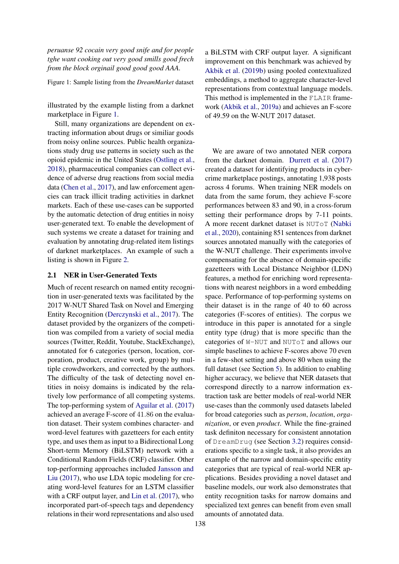*peruanse 92 cocain very good snife and for people tghe want cooking out very good smills good frech from the block orginail good good good AAA.*

Figure 1: Sample listing from the *DreamMarket* dataset

illustrated by the example listing from a darknet marketplace in Figure 1.

Still, many organizations are dependent on extracting information about drugs or similiar goods from noisy online sources. Public health organizations study drug use patterns in society such as the opioid epidemic in the United States (Ostling et al., 2018), pharmaceutical companies can collect evidence of adverse drug reactions from social media data (Chen et al., 2017), and law enforcement agencies can track illicit trading activities in darknet markets. Each of these use-cases can be supported by the automatic detection of drug entities in noisy user-generated text. To enable the development of such systems we create a dataset for training and evaluation by annotating drug-related item listings of darknet marketplaces. An example of such a listing is shown in Figure 2.

#### 2.1 NER in User-Generated Texts

Much of recent research on named entity recognition in user-generated texts was facilitated by the 2017 W-NUT Shared Task on Novel and Emerging Entity Recognition (Derczynski et al., 2017). The dataset provided by the organizers of the competition was compiled from a variety of social media sources (Twitter, Reddit, Youtube, StackExchange), annotated for 6 categories (person, location, corporation, product, creative work, group) by multiple crowdworkers, and corrected by the authors. The difficulty of the task of detecting novel entities in noisy domains is indicated by the relatively low performance of all competing systems. The top-performing system of Aguilar et al. (2017) achieved an average F-score of 41.86 on the evaluation dataset. Their system combines character- and word-level features with gazetteers for each entity type, and uses them as input to a Bidirectional Long Short-term Memory (BiLSTM) network with a Conditional Random Fields (CRF) classifier. Other top-performing approaches included Jansson and Liu (2017), who use LDA topic modeling for creating word-level features for an LSTM classifier with a CRF output layer, and Lin et al. (2017), who incorporated part-of-speech tags and dependency relations in their word representations and also used

a BiLSTM with CRF output layer. A significant improvement on this benchmark was achieved by Akbik et al. (2019b) using pooled contextualized embeddings, a method to aggregate character-level representations from contextual language models. This method is implemented in the FLAIR framework (Akbik et al., 2019a) and achieves an F-score of 49.59 on the W-NUT 2017 dataset.

We are aware of two annotated NER corpora from the darknet domain. Durrett et al. (2017) created a dataset for identifying products in cybercrime marketplace postings, annotating 1,938 posts across 4 forums. When training NER models on data from the same forum, they achieve F-score performances between 83 and 90, in a cross-forum setting their performance drops by 7-11 points. A more recent darknet dataset is NUToT (Nabki et al., 2020), containing 851 sentences from darknet sources annotated manually with the categories of the W-NUT challenge. Their experiments involve compensating for the absence of domain-specific gazetteers with Local Distance Neighbor (LDN) features, a method for enriching word representations with nearest neighbors in a word embedding space. Performance of top-performing systems on their dataset is in the range of 40 to 60 across categories (F-scores of entities). The corpus we introduce in this paper is annotated for a single entity type (drug) that is more specific than the categories of W-NUT and NUToT and allows our simple baselines to achieve F-scores above 70 even in a few-shot setting and above 80 when using the full dataset (see Section 5). In addition to enabling higher accuracy, we believe that NER datasets that correspond directly to a narrow information extraction task are better models of real-world NER use-cases than the commonly used datasets labeled for broad categories such as *person*, *location*, *organization*, or even *product*. While the fine-grained task definiton necessary for consistent annotation of DreamDrug (see Section 3.2) requires considerations specific to a single task, it also provides an example of the narrow and domain-specific entity categories that are typical of real-world NER applications. Besides providing a novel dataset and baseline models, our work also demonstrates that entity recognition tasks for narrow domains and specialized text genres can benefit from even small amounts of annotated data.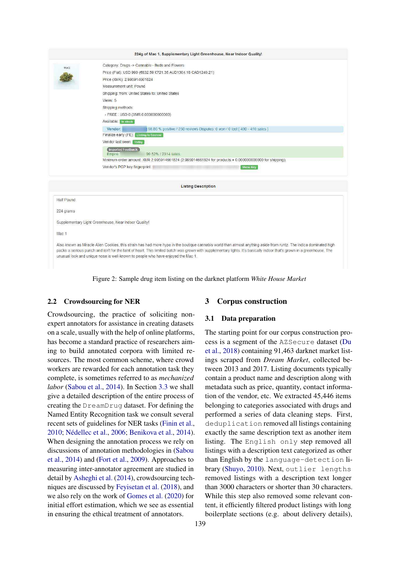

Figure 2: Sample drug item listing on the darknet platform *White House Market*

#### 2.2 Crowdsourcing for NER

Crowdsourcing, the practice of soliciting nonexpert annotators for assistance in creating datasets on a scale, usually with the help of online platforms, has become a standard practice of researchers aiming to build annotated corpora with limited resources. The most common scheme, where crowd workers are rewarded for each annotation task they complete, is sometimes referred to as *mechanized labor* (Sabou et al., 2014). In Section 3.3 we shall give a detailed description of the entire process of creating the DreamDrug dataset. For defining the Named Entity Recognition task we consult several recent sets of guidelines for NER tasks (Finin et al., 2010; Nédellec et al., 2006; Benikova et al., 2014). When designing the annotation process we rely on discussions of annotation methodologies in (Sabou et al., 2014) and (Fort et al., 2009). Approaches to measuring inter-annotator agreement are studied in detail by Asheghi et al. (2014), crowdsourcing techniques are discussed by Feyisetan et al. (2018), and we also rely on the work of Gomes et al. (2020) for initial effort estimation, which we see as essential in ensuring the ethical treatment of annotators.

#### 3 Corpus construction

#### 3.1 Data preparation

The starting point for our corpus construction process is a segment of the AZSecure dataset (Du et al., 2018) containing 91,463 darknet market listings scraped from *Dream Market*, collected between 2013 and 2017. Listing documents typically contain a product name and description along with metadata such as price, quantity, contact information of the vendor, etc. We extracted 45,446 items belonging to categories associated with drugs and performed a series of data cleaning steps. First, deduplication removed all listings containing exactly the same description text as another item listing. The English only step removed all listings with a description text categorized as other than English by the language-detection library (Shuyo, 2010). Next, outlier lengths removed listings with a description text longer than 3000 characters or shorter than 30 characters. While this step also removed some relevant content, it efficiently filtered product listings with long boilerplate sections (e.g. about delivery details),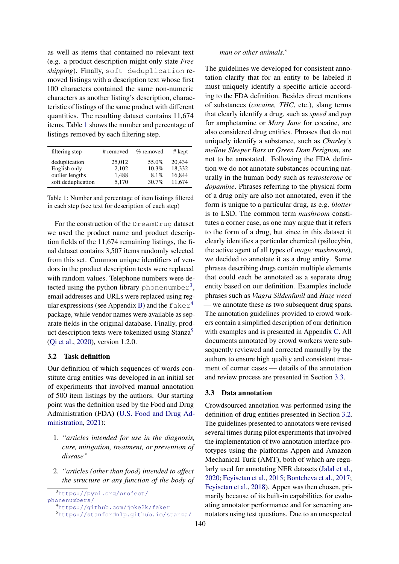as well as items that contained no relevant text (e.g. a product description might only state *Free shipping*). Finally, soft deduplication removed listings with a description text whose first 100 characters contained the same non-numeric characters as another listing's description, characteristic of listings of the same product with different quantities. The resulting dataset contains 11,674 items, Table 1 shows the number and percentage of listings removed by each filtering step.

| filtering step     | # removed | $%$ removed | # kept |
|--------------------|-----------|-------------|--------|
| deduplication      | 25,012    | 55.0%       | 20.434 |
| English only       | 2,102     | 10.3%       | 18,332 |
| outlier lengths    | 1.488     | $8.1\%$     | 16.844 |
| soft deduplication | 5.170     | $30.7\%$    | 11.674 |

Table 1: Number and percentage of item listings filtered in each step (see text for description of each step)

For the construction of the DreamDrug dataset we used the product name and product description fields of the 11,674 remaining listings, the final dataset contains 3,507 items randomly selected from this set. Common unique identifiers of vendors in the product description texts were replaced with random values. Telephone numbers were detected using the python library phonenumber<sup>3</sup>, email addresses and URLs were replaced using regular expressions (see Appendix B) and the  $faker<sup>4</sup>$ package, while vendor names were available as separate fields in the original database. Finally, product description texts were tokenized using  $Stanza<sup>5</sup>$ (Qi et al., 2020), version 1.2.0.

#### 3.2 Task definition

Our definition of which sequences of words constitute drug entities was developed in an initial set of experiments that involved manual annotation of 500 item listings by the authors. Our starting point was the definition used by the Food and Drug Administration (FDA) (U.S. Food and Drug Administration, 2021):

- 1. *"articles intended for use in the diagnosis, cure, mitigation, treatment, or prevention of disease"*
- 2. *"articles (other than food) intended to affect the structure or any function of the body of*

<sup>3</sup>https://pypi.org/project/ phonenumbers/

#### *man or other animals."*

The guidelines we developed for consistent annotation clarify that for an entity to be labeled it must uniquely identify a specific article according to the FDA definition. Besides direct mentions of substances (*cocaine, THC*, etc.), slang terms that clearly identify a drug, such as *speed* and *pep* for amphetamine or *Mary Jane* for cocaine, are also considered drug entities. Phrases that do not uniquely identify a substance, such as *Charley's mellow Sleeper Bars* or *Green Dom Perignon*, are not to be annotated. Following the FDA definition we do not annotate substances occurring naturally in the human body such as *testosterone* or *dopamine*. Phrases referring to the physical form of a drug only are also not annotated, even if the form is unique to a particular drug, as e.g. *blotter* is to LSD. The common term *mushroom* constitutes a corner case, as one may argue that it refers to the form of a drug, but since in this dataset it clearly identifies a particular chemical (psilocybin, the active agent of all types of *magic mushrooms*), we decided to annotate it as a drug entity. Some phrases describing drugs contain multiple elements that could each be annotated as a separate drug entity based on our definition. Examples include phrases such as *Viagra Sildenfanil* and *Haze weed* — we annotate these as two subsequent drug spans. The annotation guidelines provided to crowd workers contain a simplified description of our definition with examples and is presented in Appendix C. All documents annotated by crowd workers were subsequently reviewed and corrected manually by the authors to ensure high quality and consistent treatment of corner cases — details of the annotation and review process are presented in Section 3.3.

#### 3.3 Data annotation

Crowdsourced annotation was performed using the definition of drug entities presented in Section 3.2. The guidelines presented to annotators were revised several times during pilot experiments that involved the implementation of two annotation interface prototypes using the platforms Appen and Amazon Mechanical Turk (AMT), both of which are regularly used for annotating NER datasets (Jalal et al., 2020; Feyisetan et al., 2015; Bontcheva et al., 2017; Feyisetan et al., 2018). Appen was then chosen, primarily because of its built-in capabilities for evaluating annotator performance and for screening annotators using test questions. Due to an unexpected

<sup>4</sup>https://github.com/joke2k/faker

<sup>5</sup>https://stanfordnlp.github.io/stanza/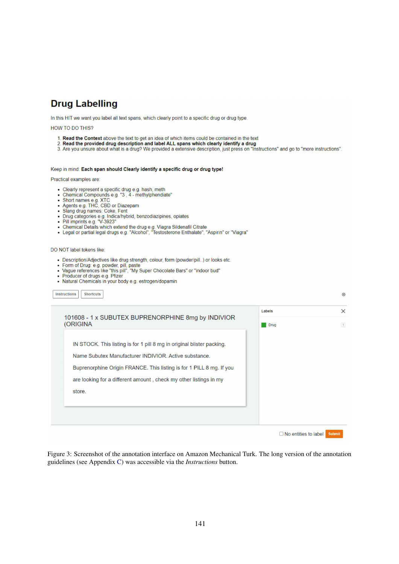## **Drug Labelling**

In this HIT we want you label all text spans, which clearly point to a specific drug or drug type.

**HOW TO DO THIS?** 

- 
- 
- 1. Read the Context above the text to get an idea of which items could be contained in the text<br>2. Read the provided drug description and label ALL spans which clearly identify a drug<br>3. Are you unsure about what is a drug

#### Keep in mind: Each span should Clearly identify a specific drug or drug type!

Practical examples are:

- 
- Clearly represent a specific drug e.g. hash, meth<br>• Chemical Compounds e.g. "3 , 4 methylphendiate"<br>• Short names e.g. XTC<br>• Agents e.g. THC, CBD or Diazepam
- 
- 
- · Slang drug names: Coke, Fent
- Drug categories e.g. Indica/hybrid, benzodiazipines, opiates<br>• Pill imprints e.g. "V-3923"
- 
- Chemical Details which extend the drug e.g. Viagra Sildenafil Citrate<br>• Legal or partial legal drugs e.g. "Alcohol", "Testosterone Enthalate", "Aspirin" or "Viagra"

DO NOT label tokens like:

- · Description/Adjectives like drug strength, colour, form (powder/pill..) or looks etc.
- $\bullet$
- Form of Drug: e.g. powder, pill, paste<br>Vague references like "this pill", "My Super Chocolate Bars" or "indoor bud"  $\bullet$
- Producer of drugs e.g. Pfizer  $\bullet$
- · Natural Chemicals in your body e.g. estrogen/dopamin

| 101608 - 1 x SUBUTEX BUPRENORPHINE 8mg by INDIVIOR                     | Labels      | $\times$    |
|------------------------------------------------------------------------|-------------|-------------|
| <b>(ORIGINA</b>                                                        | <b>Drug</b> | $\boxed{1}$ |
| IN STOCK. This listing is for 1 pill 8 mg in original blister packing. |             |             |
| Name Subutex Manufacturer INDIVIOR, Active substance.                  |             |             |
| Buprenorphine Origin FRANCE. This listing is for 1 PILL 8 mg. If you   |             |             |
| are looking for a different amount, check my other listings in my      |             |             |
| store.                                                                 |             |             |
|                                                                        |             |             |
|                                                                        |             |             |

Figure 3: Screenshot of the annotation interface on Amazon Mechanical Turk. The long version of the annotation guidelines (see Appendix C) was accessible via the *Instructions* button.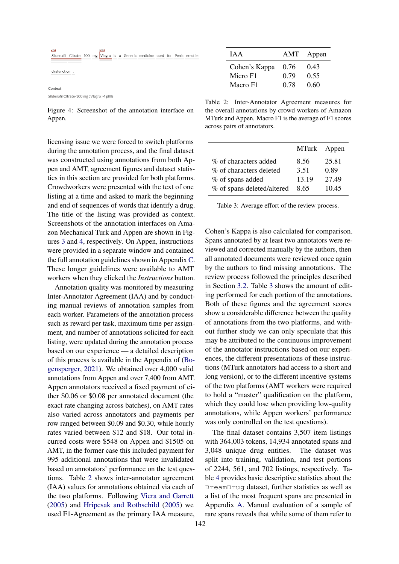

Figure 4: Screenshot of the annotation interface on Appen.

licensing issue we were forced to switch platforms during the annotation process, and the final dataset was constructed using annotations from both Appen and AMT, agreement figures and dataset statistics in this section are provided for both platforms. Crowdworkers were presented with the text of one listing at a time and asked to mark the beginning and end of sequences of words that identify a drug. The title of the listing was provided as context. Screenshots of the annotation interfaces on Amazon Mechanical Turk and Appen are shown in Figures 3 and 4, respectively. On Appen, instructions were provided in a separate window and contained the full annotation guidelines shown in Appendix C. These longer guidelines were available to AMT workers when they clicked the *Instructions* button.

Annotation quality was monitored by measuring Inter-Annotator Agreement (IAA) and by conducting manual reviews of annotation samples from each worker. Parameters of the annotation process such as reward per task, maximum time per assignment, and number of annotations solicited for each listing, were updated during the annotation process based on our experience — a detailed description of this process is available in the Appendix of (Bogensperger, 2021). We obtained over 4,000 valid annotations from Appen and over 7,400 from AMT. Appen annotators received a fixed payment of either \$0.06 or \$0.08 per annotated document (the exact rate changing across batches), on AMT rates also varied across annotators and payments per row ranged between \$0.09 and \$0.30, while hourly rates varied between \$12 and \$18. Our total incurred costs were \$548 on Appen and \$1505 on AMT, in the former case this included payment for 995 additional annotations that were invalidated based on annotators' performance on the test questions. Table 2 shows inter-annotator agreement (IAA) values for annotations obtained via each of the two platforms. Following Viera and Garrett (2005) and Hripcsak and Rothschild (2005) we used F1-Agreement as the primary IAA measure,

| I A A         | AMT  | Appen |
|---------------|------|-------|
| Cohen's Kappa | 0.76 | 0.43  |
| Micro F1      | 0.79 | 0.55  |
| Macro F1      | 0.78 | 0.60  |

Table 2: Inter-Annotator Agreement measures for the overall annotations by crowd workers of Amazon MTurk and Appen. Macro F1 is the average of F1 scores across pairs of annotators.

|                            | MTurk Appen |       |
|----------------------------|-------------|-------|
| % of characters added      | 8.56        | 25.81 |
| % of characters deleted    | 3.51        | 0.89  |
| % of spans added           | 13.19       | 27.49 |
| % of spans deleted/altered | 8.65        | 10.45 |

Table 3: Average effort of the review process.

Cohen's Kappa is also calculated for comparison. Spans annotated by at least two annotators were reviewed and corrected manually by the authors, then all annotated documents were reviewed once again by the authors to find missing annotations. The review process followed the principles described in Section 3.2. Table 3 shows the amount of editing performed for each portion of the annotations. Both of these figures and the agreement scores show a considerable difference between the quality of annotations from the two platforms, and without further study we can only speculate that this may be attributed to the continuous improvement of the annotator instructions based on our experiences, the different presentations of these instructions (MTurk annotators had access to a short and long version), or to the different incentive systems of the two platforms (AMT workers were required to hold a "master" qualification on the platform, which they could lose when providing low-quality annotations, while Appen workers' performance was only controlled on the test questions).

The final dataset contains 3,507 item listings with 364,003 tokens, 14,934 annotated spans and 3,048 unique drug entities. The dataset was split into training, validation, and test portions of 2244, 561, and 702 listings, respectively. Table 4 provides basic descriptive statistics about the DreamDrug dataset, further statistics as well as a list of the most frequent spans are presented in Appendix A. Manual evaluation of a sample of rare spans reveals that while some of them refer to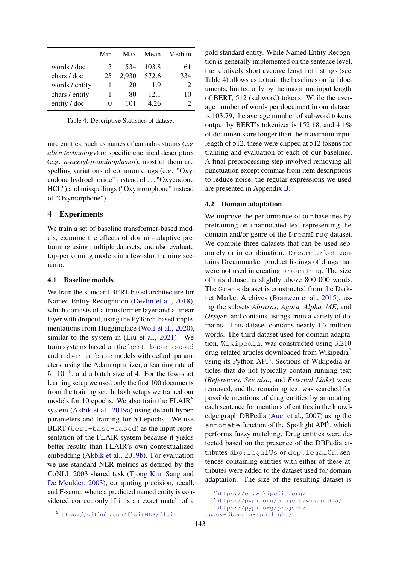|                | Min | Max   |       | Mean Median |
|----------------|-----|-------|-------|-------------|
| words / doc    | 3   | 534   | 103.8 | 61          |
| chars / doc    | 25  | 2,930 | 572.6 | 334         |
| words / entity |     | 20    | 1.9   | 2           |
| chars / entity |     | 80    | 12.1  | 10          |
| entity / doc   |     | 101   | 4.26  |             |

Table 4: Descriptive Statistics of dataset

rare entities, such as names of cannabis strains (e.g. *alien technology*) or specific chemical descriptors (e.g. *n-acetyl-p-aminophenol*), most of them are spelling variations of common drugs (e.g. "Oxycodone hydrochloride" instead of . . . "Oxycodone HCL") and misspellings ("Oxymorophone" instead of "Oxymorphone").

### 4 Experiments

We train a set of baseline transformer-based models, examine the effects of domain-adaptive pretraining using multiple datasets, and also evaluate top-performing models in a few-shot training scenario.

#### 4.1 Baseline models

We train the standard BERT-based architecture for Named Entity Recognition (Devlin et al., 2018), which consists of a transformer layer and a linear layer with dropout, using the PyTorch-based implementations from Huggingface (Wolf et al., 2020), similar to the system in (Liu et al., 2021). We train systems based on the bert-base-cased and roberta-base models with default parameters, using the Adam optimizer, a learning rate of 5 · 10−<sup>5</sup> , and a batch size of 4. For the few-shot learning setup we used only the first 100 documents from the training set. In both setups we trained our models for 10 epochs. We also train the  $FLAIR<sup>6</sup>$ system (Akbik et al., 2019a) using default hyperparameters and training for 50 epochs. We use BERT (bert-base-cased) as the input representation of the FLAIR system because it yields better results than FLAIR's own contextualized embedding (Akbik et al., 2019b). For evaluation we use standard NER metrics as defined by the CoNLL 2003 shared task (Tjong Kim Sang and De Meulder, 2003), computing precision, recall, and F-score, where a predicted named entity is considered correct only if it is an exact match of a

gold standard entity. While Named Entity Recogntion is generally implemented on the sentence level, the relatively short average length of listings (see Table 4) allows us to train the baselines on full documents, limited only by the maximum input length of BERT, 512 (subword) tokens. While the average number of words per document in our dataset is 103.79, the average number of subword tokens output by BERT's tokenizer is 152.18, and 4.1% of documents are longer than the maximum input length of 512, these were clipped at 512 tokens for training and evaluation of each of our baselines. A final preprocessing step involved removing all punctuation except commas from item descriptions to reduce noise, the regular expressions we used are presented in Appendix B.

#### 4.2 Domain adaptation

We improve the performance of our baselines by pretraining on unannotated text representing the domain and/or genre of the DreamDrug dataset. We compile three datasets that can be used separately or in combination. Dreammarket contains Dreammarket product listings of drugs that were not used in creating DreamDrug. The size of this dataset is slightly above 800 000 words. The Grams dataset is constructed from the Darknet Market Archives (Branwen et al., 2015), using the subsets *Abraxas, Agora, Alpha, ME*, and *Oxygen*, and contains listings from a variety of domains. This dataset contains nearly 1.7 million words. The third dataset used for domain adaptation, Wikipedia, was constructed using 3,210 drug-related articles downloaded from Wikipedia<sup>7</sup> using its Python API<sup>8</sup>. Sections of Wikipedia articles that do not typically contain running text (*References*, *See also*, and *External Links*) were removed, and the remaining text was searched for possible mentions of drug entities by annotating each sentence for mentions of entities in the knowledge graph DBPedia (Auer et al., 2007) using the annotate function of the Spotlight API<sup>9</sup>, which performs fuzzy matching. Drug entities were detected based on the presence of the DBPedia attributes dbp:legalUs or dbp:legalUn, sentences containing entities with either of these attributes were added to the dataset used for domain adaptation. The size of the resulting dataset is

<sup>7</sup>https://en.wikipedia.org/

<sup>8</sup>https://pypi.org/project/wikipedia/

<sup>9</sup>https://pypi.org/project/

spacy-dbpedia-spotlight/

<sup>6</sup>https://github.com/flairNLP/flair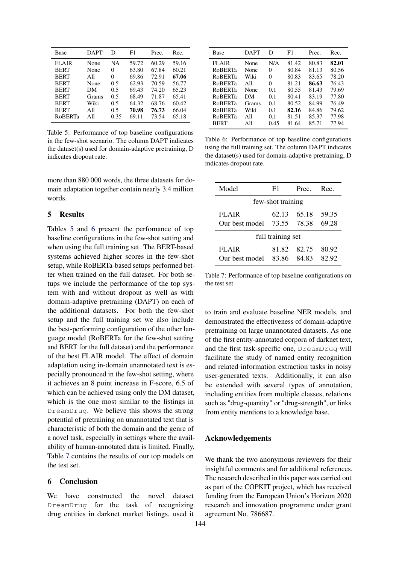| Base           | <b>DAPT</b> | D    | F1    | Prec. | Rec.  |
|----------------|-------------|------|-------|-------|-------|
| <b>FLAIR</b>   | None        | NΑ   | 59.72 | 60.29 | 59.16 |
| <b>BERT</b>    | None        | 0    | 63.80 | 67.84 | 60.21 |
| <b>BERT</b>    | All         | 0    | 69.86 | 72.91 | 67.06 |
| <b>BERT</b>    | None        | 0.5  | 62.93 | 70.59 | 56.77 |
| <b>BERT</b>    | DМ          | 0.5  | 69.43 | 74.20 | 65.23 |
| <b>BERT</b>    | Grams       | 0.5  | 68.49 | 71.87 | 65.41 |
| <b>BERT</b>    | Wiki        | 0.5  | 64.32 | 68.76 | 60.42 |
| <b>BERT</b>    | All         | 0.5  | 70.98 | 76.73 | 66.04 |
| <b>RoBERTa</b> | All         | 0.35 | 69.11 | 73.54 | 65.18 |

Table 5: Performance of top baseline configurations in the few-shot scenario. The column DAPT indicates the dataset(s) used for domain-adaptive pretraining, D indicates dropout rate.

more than 880 000 words, the three datasets for domain adaptation together contain nearly 3.4 million words.

#### 5 Results

Tables 5 and 6 present the perfomance of top baseline configurations in the few-shot setting and when using the full training set. The BERT-based systems achieved higher scores in the few-shot setup, while RoBERTa-based setups performed better when trained on the full dataset. For both setups we include the performance of the top system with and without dropout as well as with domain-adaptive pretraining (DAPT) on each of the additional datasets. For both the few-shot setup and the full training set we also include the best-performing configuration of the other language model (RoBERTa for the few-shot setting and BERT for the full dataset) and the performance of the best FLAIR model. The effect of domain adaptation using in-domain unannotated text is especially pronounced in the few-shot setting, where it achieves an 8 point increase in F-score, 6.5 of which can be achieved using only the DM dataset, which is the one most similar to the listings in DreamDrug. We believe this shows the strong potential of pretraining on unannotated text that is characteristic of both the domain and the genre of a novel task, especially in settings where the availability of human-annotated data is limited. Finally, Table 7 contains the results of our top models on the test set.

### 6 Conclusion

We have constructed the novel dataset DreamDrug for the task of recognizing drug entities in darknet market listings, used it

| Base           | <b>DAPT</b> | D    | F1    | Prec. | Rec.  |
|----------------|-------------|------|-------|-------|-------|
| <b>FLAIR</b>   | None        | N/A  | 81.42 | 80.83 | 82.01 |
| <b>RoBERTa</b> | None        | 0    | 80.84 | 81.13 | 80.56 |
| <b>RoBERTa</b> | Wiki        | 0    | 80.83 | 83.65 | 78.20 |
| <b>RoBERTa</b> | A11         | 0    | 81.21 | 86.63 | 76.43 |
| <b>ROBERTa</b> | None        | 0.1  | 80.55 | 81.43 | 79.69 |
| <b>ROBERTa</b> | DМ          | 0.1  | 80.41 | 83.19 | 77.80 |
| <b>RoBERTa</b> | Grams       | 0.1  | 80.52 | 84.99 | 76.49 |
| <b>RoBERTa</b> | Wiki        | 0.1  | 82.16 | 84.86 | 79.62 |
| <b>RoBERTa</b> | All         | 0.1  | 81.51 | 85.37 | 77.98 |
| <b>BERT</b>    | All         | 0.45 | 81.64 | 85.71 | 77.94 |

Table 6: Performance of top baseline configurations using the full training set. The column DAPT indicates the dataset(s) used for domain-adaptive pretraining, D indicates dropout rate.

| Model          | F1                | Prec  | Rec   |
|----------------|-------------------|-------|-------|
|                | few-shot training |       |       |
| FLAIR          | 62.13             | 65.18 | 59.35 |
| Our best model | 73.55             | 78.38 | 69.28 |
|                | full training set |       |       |
| <b>FLAIR</b>   | 81.82             | 82.75 | 80.92 |
| Our best model | 83.86             | 84.83 | 82.92 |

Table 7: Performance of top baseline configurations on the test set

to train and evaluate baseline NER models, and demonstrated the effectiveness of domain-adaptive pretraining on large unannotated datasets. As one of the first entity-annotated corpora of darknet text, and the first task-specific one, DreamDrug will facilitate the study of named entity recognition and related information extraction tasks in noisy user-generated texts. Additionally, it can also be extended with several types of annotation, including entities from multiple classes, relations such as "drug-quantity" or "drug-strength", or links from entity mentions to a knowledge base.

#### Acknowledgements

We thank the two anonymous reviewers for their insightful comments and for additional references. The research described in this paper was carried out as part of the COPKIT project, which has received funding from the European Union's Horizon 2020 research and innovation programme under grant agreement No. 786687.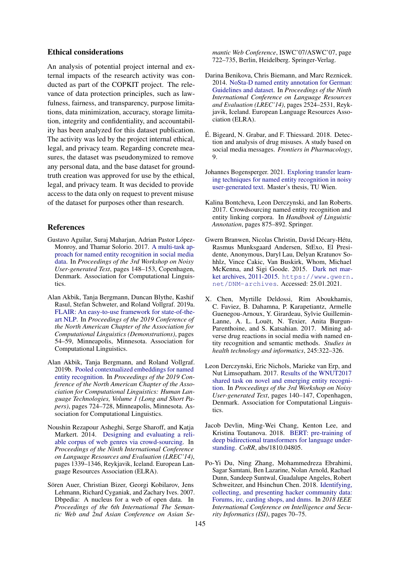#### Ethical considerations

An analysis of potential project internal and external impacts of the research activity was conducted as part of the COPKIT project. The relevance of data protection principles, such as lawfulness, fairness, and transparency, purpose limitations, data minimization, accuracy, storage limitation, integrity and confidentiality, and accountability has been analyzed for this dataset publication. The activity was led by the project internal ethical, legal, and privacy team. Regarding concrete measures, the dataset was pseudonymized to remove any personal data, and the base dataset for groundtruth creation was approved for use by the ethical, legal, and privacy team. It was decided to provide access to the data only on request to prevent misuse of the dataset for purposes other than research.

#### References

- Gustavo Aguilar, Suraj Maharjan, Adrian Pastor López-Monroy, and Thamar Solorio. 2017. A multi-task approach for named entity recognition in social media data. In *Proceedings of the 3rd Workshop on Noisy User-generated Text*, pages 148–153, Copenhagen, Denmark. Association for Computational Linguistics.
- Alan Akbik, Tanja Bergmann, Duncan Blythe, Kashif Rasul, Stefan Schweter, and Roland Vollgraf. 2019a. FLAIR: An easy-to-use framework for state-of-theart NLP. In *Proceedings of the 2019 Conference of the North American Chapter of the Association for Computational Linguistics (Demonstrations)*, pages 54–59, Minneapolis, Minnesota. Association for Computational Linguistics.
- Alan Akbik, Tanja Bergmann, and Roland Vollgraf. 2019b. Pooled contextualized embeddings for named entity recognition. In *Proceedings of the 2019 Conference of the North American Chapter of the Association for Computational Linguistics: Human Language Technologies, Volume 1 (Long and Short Papers)*, pages 724–728, Minneapolis, Minnesota. Association for Computational Linguistics.
- Noushin Rezapour Asheghi, Serge Sharoff, and Katja Markert. 2014. Designing and evaluating a reliable corpus of web genres via crowd-sourcing. In *Proceedings of the Ninth International Conference on Language Resources and Evaluation (LREC'14)*, pages 1339–1346, Reykjavik, Iceland. European Language Resources Association (ELRA).
- Sören Auer, Christian Bizer, Georgi Kobilarov, Jens Lehmann, Richard Cyganiak, and Zachary Ives. 2007. Dbpedia: A nucleus for a web of open data. In *Proceedings of the 6th International The Semantic Web and 2nd Asian Conference on Asian Se-*

*mantic Web Conference*, ISWC'07/ASWC'07, page 722–735, Berlin, Heidelberg. Springer-Verlag.

- Darina Benikova, Chris Biemann, and Marc Reznicek. 2014. NoSta-D named entity annotation for German: Guidelines and dataset. In *Proceedings of the Ninth International Conference on Language Resources and Evaluation (LREC'14)*, pages 2524–2531, Reykjavik, Iceland. European Language Resources Association (ELRA).
- É. Bigeard, N. Grabar, and F. Thiessard. 2018. Detection and analysis of drug misuses. A study based on social media messages. *Frontiers in Pharmacology*, 9.
- Johannes Bogensperger. 2021. Exploring transfer learning techniques for named entity recognition in noisy user-generated text. Master's thesis, TU Wien.
- Kalina Bontcheva, Leon Derczynski, and Ian Roberts. 2017. Crowdsourcing named entity recognition and entity linking corpora. In *Handbook of Linguistic Annotation*, pages 875–892. Springer.
- Gwern Branwen, Nicolas Christin, David Décary-Hétu, Rasmus Munksgaard Andersen, StExo, El Presidente, Anonymous, Daryl Lau, Delyan Kratunov Sohhlz, Vince Cakic, Van Buskirk, Whom, Michael McKenna, and Sigi Goode. 2015. Dark net market archives, 2011-2015. https://www.gwern. net/DNM-archives. Accessed: 25.01.2021.
- X. Chen, Myrtille Deldossi, Rim Aboukhamis, C. Faviez, B. Dahamna, P. Karapetiantz, Armelle Guenegou-Arnoux, Y. Girardeau, Sylvie Guillemin-Lanne, A. L. Louët, N. Texier, Anita Burgun-Parenthoine, and S. Katsahian. 2017. Mining adverse drug reactions in social media with named entity recognition and semantic methods. *Studies in health technology and informatics*, 245:322–326.
- Leon Derczynski, Eric Nichols, Marieke van Erp, and Nut Limsopatham. 2017. Results of the WNUT2017 shared task on novel and emerging entity recognition. In *Proceedings of the 3rd Workshop on Noisy User-generated Text*, pages 140–147, Copenhagen, Denmark. Association for Computational Linguistics.
- Jacob Devlin, Ming-Wei Chang, Kenton Lee, and Kristina Toutanova. 2018. BERT: pre-training of deep bidirectional transformers for language understanding. *CoRR*, abs/1810.04805.
- Po-Yi Du, Ning Zhang, Mohammedreza Ebrahimi, Sagar Samtani, Ben Lazarine, Nolan Arnold, Rachael Dunn, Sandeep Suntwal, Guadalupe Angeles, Robert Schweitzer, and Hsinchun Chen. 2018. Identifying, collecting, and presenting hacker community data: Forums, irc, carding shops, and dnms. In *2018 IEEE International Conference on Intelligence and Security Informatics (ISI)*, pages 70–75.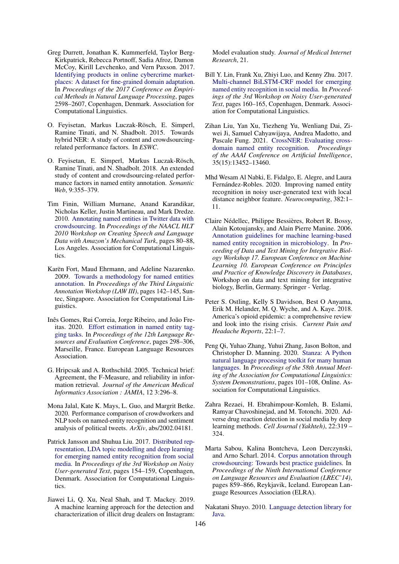- Greg Durrett, Jonathan K. Kummerfeld, Taylor Berg-Kirkpatrick, Rebecca Portnoff, Sadia Afroz, Damon McCoy, Kirill Levchenko, and Vern Paxson. 2017. Identifying products in online cybercrime marketplaces: A dataset for fine-grained domain adaptation. In *Proceedings of the 2017 Conference on Empirical Methods in Natural Language Processing*, pages 2598–2607, Copenhagen, Denmark. Association for Computational Linguistics.
- O. Feyisetan, Markus Luczak-Rösch, E. Simperl, Ramine Tinati, and N. Shadbolt. 2015. Towards hybrid NER: A study of content and crowdsourcingrelated performance factors. In *ESWC*.
- O. Feyisetan, E. Simperl, Markus Luczak-Rösch, Ramine Tinati, and N. Shadbolt. 2018. An extended study of content and crowdsourcing-related performance factors in named entity annotation. *Semantic Web*, 9:355–379.
- Tim Finin, William Murnane, Anand Karandikar, Nicholas Keller, Justin Martineau, and Mark Dredze. 2010. Annotating named entities in Twitter data with crowdsourcing. In *Proceedings of the NAACL HLT 2010 Workshop on Creating Speech and Language Data with Amazon's Mechanical Turk*, pages 80–88, Los Angeles. Association for Computational Linguistics.
- Karën Fort, Maud Ehrmann, and Adeline Nazarenko. 2009. Towards a methodology for named entities annotation. In *Proceedings of the Third Linguistic Annotation Workshop (LAW III)*, pages 142–145, Suntec, Singapore. Association for Computational Linguistics.
- Inês Gomes, Rui Correia, Jorge Ribeiro, and João Freitas. 2020. Effort estimation in named entity tagging tasks. In *Proceedings of the 12th Language Resources and Evaluation Conference*, pages 298–306, Marseille, France. European Language Resources Association.
- G. Hripcsak and A. Rothschild. 2005. Technical brief: Agreement, the F-Measure, and reliability in information retrieval. *Journal of the American Medical Informatics Association : JAMIA*, 12 3:296–8.
- Mona Jalal, Kate K. Mays, L. Guo, and Margrit Betke. 2020. Performance comparison of crowdworkers and NLP tools on named-entity recognition and sentiment analysis of political tweets. *ArXiv*, abs/2002.04181.
- Patrick Jansson and Shuhua Liu. 2017. Distributed representation, LDA topic modelling and deep learning for emerging named entity recognition from social media. In *Proceedings of the 3rd Workshop on Noisy User-generated Text*, pages 154–159, Copenhagen, Denmark. Association for Computational Linguistics.
- Jiawei Li, Q. Xu, Neal Shah, and T. Mackey. 2019. A machine learning approach for the detection and characterization of illicit drug dealers on Instagram:

Model evaluation study. *Journal of Medical Internet Research*, 21.

- Bill Y. Lin, Frank Xu, Zhiyi Luo, and Kenny Zhu. 2017. Multi-channel BiLSTM-CRF model for emerging named entity recognition in social media. In *Proceedings of the 3rd Workshop on Noisy User-generated Text*, pages 160–165, Copenhagen, Denmark. Association for Computational Linguistics.
- Zihan Liu, Yan Xu, Tiezheng Yu, Wenliang Dai, Ziwei Ji, Samuel Cahyawijaya, Andrea Madotto, and Pascale Fung. 2021. CrossNER: Evaluating crossdomain named entity recognition. *Proceedings of the AAAI Conference on Artificial Intelligence*, 35(15):13452–13460.
- Mhd Wesam Al Nabki, E. Fidalgo, E. Alegre, and Laura Fernández-Robles. 2020. Improving named entity recognition in noisy user-generated text with local distance neighbor feature. *Neurocomputing*, 382:1– 11.
- Claire Nédellec, Philippe Bessières, Robert R. Bossy, Alain Kotoujansky, and Alain Pierre Manine. 2006. Annotation guidelines for machine learning-based named entity recognition in microbiology. In *Proceeding of Data and Text Mining for Integrative Biology Workshop 17. European Conference on Machine Learning 10. European Conference on Principles and Practice of Knowledge Discovery in Databases*, Workshop on data and text mining for integrative biology, Berlin, Germany. Springer - Verlag.
- Peter S. Ostling, Kelly S Davidson, Best O Anyama, Erik M. Helander, M. Q. Wyche, and A. Kaye. 2018. America's opioid epidemic: a comprehensive review and look into the rising crisis. *Current Pain and Headache Reports*, 22:1–7.
- Peng Qi, Yuhao Zhang, Yuhui Zhang, Jason Bolton, and Christopher D. Manning. 2020. Stanza: A Python natural language processing toolkit for many human languages. In *Proceedings of the 58th Annual Meeting of the Association for Computational Linguistics: System Demonstrations*, pages 101–108, Online. Association for Computational Linguistics.
- Zahra Rezaei, H. Ebrahimpour-Komleh, B. Eslami, Ramyar Chavoshinejad, and M. Totonchi. 2020. Adverse drug reaction detection in social media by deep learning methods. *Cell Journal (Yakhteh)*, 22:319 – 324.
- Marta Sabou, Kalina Bontcheva, Leon Derczynski, and Arno Scharl. 2014. Corpus annotation through crowdsourcing: Towards best practice guidelines. In *Proceedings of the Ninth International Conference on Language Resources and Evaluation (LREC'14)*, pages 859–866, Reykjavik, Iceland. European Language Resources Association (ELRA).
- Nakatani Shuyo. 2010. Language detection library for Java.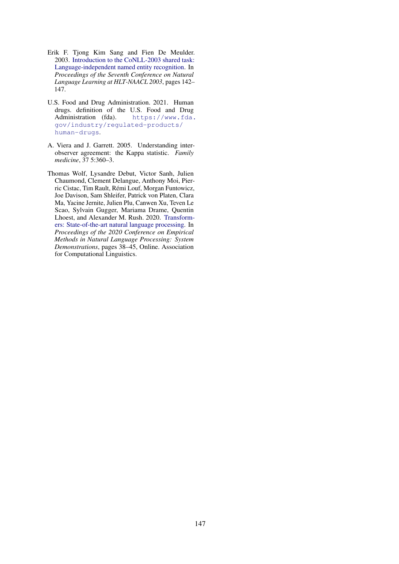- Erik F. Tjong Kim Sang and Fien De Meulder. 2003. Introduction to the CoNLL-2003 shared task: Language-independent named entity recognition. In *Proceedings of the Seventh Conference on Natural Language Learning at HLT-NAACL 2003*, pages 142– 147.
- U.S. Food and Drug Administration. 2021. Human drugs. definition of the U.S. Food and Drug Administration (fda). https://www.fda. gov/industry/regulated-products/ human-drugs.
- A. Viera and J. Garrett. 2005. Understanding interobserver agreement: the Kappa statistic. *Family medicine*, 37 5:360–3.
- Thomas Wolf, Lysandre Debut, Victor Sanh, Julien Chaumond, Clement Delangue, Anthony Moi, Pierric Cistac, Tim Rault, Rémi Louf, Morgan Funtowicz, Joe Davison, Sam Shleifer, Patrick von Platen, Clara Ma, Yacine Jernite, Julien Plu, Canwen Xu, Teven Le Scao, Sylvain Gugger, Mariama Drame, Quentin Lhoest, and Alexander M. Rush. 2020. Transformers: State-of-the-art natural language processing. In *Proceedings of the 2020 Conference on Empirical Methods in Natural Language Processing: System Demonstrations*, pages 38–45, Online. Association for Computational Linguistics.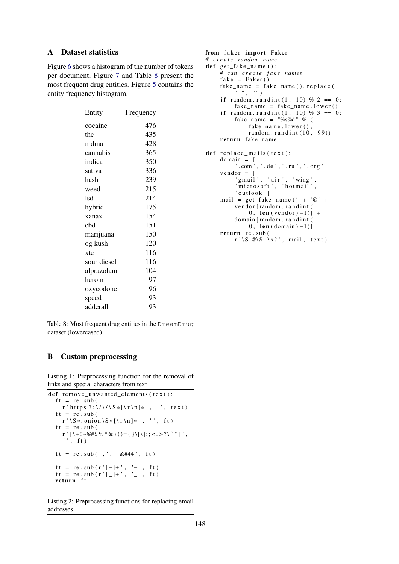## A Dataset statistics

Figure 6 shows a histogram of the number of tokens per document, Figure 7 and Table 8 present the most frequent drug entities. Figure 5 contains the entity frequency histogram.

| Entity      | Frequency |
|-------------|-----------|
| cocaine     | 476       |
| thc         | 435       |
| mdma        | 428       |
| cannabis    | 365       |
| indica      | 350       |
| sativa      | 336       |
| hash        | 239       |
| weed        | 215       |
| lsd         | 214       |
| hybrid      | 175       |
| xanax       | 154       |
| cbd         | 151       |
| marijuana   | 150       |
| og kush     | 120       |
| xtc         | 116       |
| sour diesel | 116       |
| alprazolam  | 104       |
| heroin      | 97        |
| oxycodone   | 96        |
| speed       | 93        |
| adderall    | 93        |

```
from faker import Faker
# c r e a t e random name
def get_fake_name():
     # can c r e a t e f a k e names
     fake = Faker()fake_name = fake.name().\nreplace()\overline{''} \cdots , \overline{''} \cdots )
     if random . r and int (1, 10) % 2 == 0:
         fake_name = fake_name.lower()if random . r and int (1, 10) % 3 == 0:
          fake_name = "%s%d" % (
              fake _name . lower (),
              random.randint(10, 99))
     return fake_name
def replace_mails (text):
     domain = ['.com','.de','.ru','.org']v endor = \lceil'gmail', 'air', 'wing',
          ' microsoft ', 'hotmail',
          ' outlook ']mail = get_{\text{fake\_name}}() + '@' +vendor [random.randint (
               0, len (vendor) - 1)] +
          domain [random . randint (
              0, \text{len}(\text{domain})-1)]
     return re.sub(
          r' \S + \mathcal{Q} \S + \S ?, mail, text)
```
Table 8: Most frequent drug entities in the DreamDrug dataset (lowercased)

## B Custom preprocessing

Listing 1: Preprocessing function for the removal of links and special characters from text

```
def remove unwanted elements (text):
  ft = re \cdot sub()r ' https ?:\sqrt{\sqrt{S*[r\ln]}*}', '', text)
  ft = re \cdot sub(r' \ S. onion S * [\rceil n] * ', '', ft)
  ft = re.sub(r ' [ \ + ! ~ @#$ % ^ & * ( ) = { } \ [ \ ] : ; < . > ? \ ` " ] ',
     ', ft)
  ft = re.sub('',', '& #44', ft)ft = re \cdot sub(r'[-]+', '--', ft)ft = re \cdot sub(r'[\_]+\', ' \_', ft)return ft
```
Listing 2: Preprocessing functions for replacing email addresses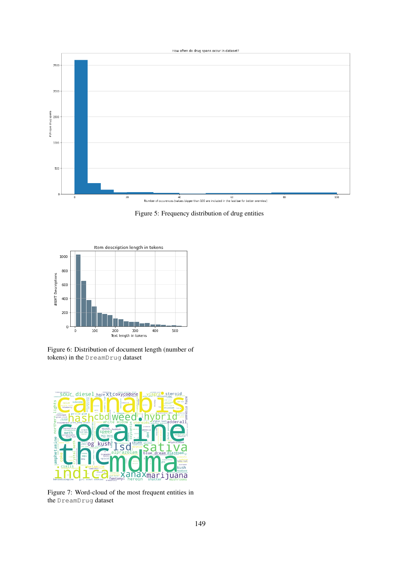

Figure 5: Frequency distribution of drug entities



Figure 6: Distribution of document length (number of tokens) in the DreamDrug dataset



Figure 7: Word-cloud of the most frequent entities in the DreamDrug dataset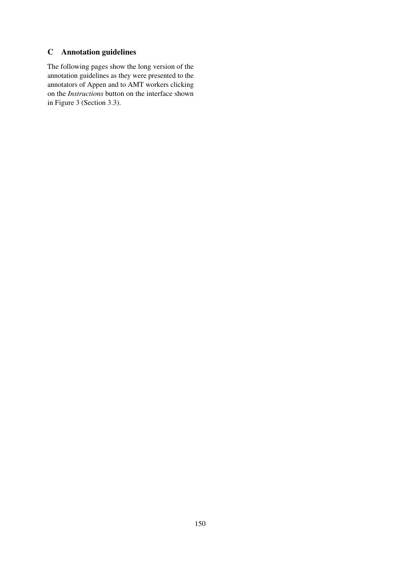## C Annotation guidelines

The following pages show the long version of the annotation guidelines as they were presented to the annotators of Appen and to AMT workers clicking on the *Instructions* button on the interface shown in Figure 3 (Section 3.3).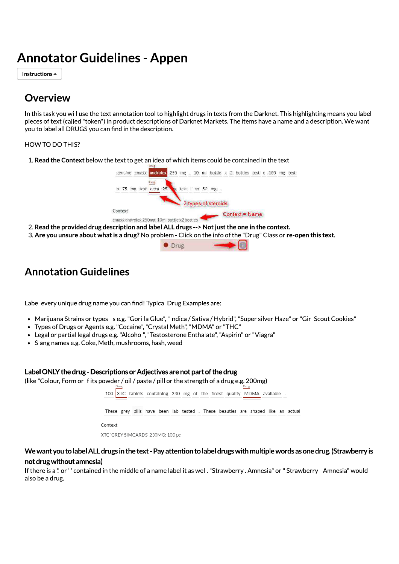# **Annotator Guidelines - Appen**

Instructions  $\triangle$ 

## Overview

In this task you will use the text annotation tool to highlight drugs in texts from the Darknet. This highlighting means you label pieces of text (called "token") in product descriptions of Darknet Markets. The items have a name and a description. We want you to label all DRUGS you can find in the description.

### **HOW TO DO THIS?**

1. Read the Context below the text to get an idea of which items could be contained in the text



- 2. Read the provided drug description and label ALL drugs --> Not just the one in the context.
- 3. Are you unsure about what is a drug? No problem Click on the info of the "Drug" Class or re-open this text.



# **Annotation Guidelines**

Label every unique drug name you can find! Typical Drug Examples are:

- Marijuana Strains or types s e.g. "Gorilla Glue", "Indica / Sativa / Hybrid", "Super silver Haze" or "Girl Scout Cookies"
- Types of Drugs or Agents e.g. "Cocaine", "Crystal Meth", "MDMA" or "THC"
- Legal or partial legal drugs e.g. "Alcohol", "Testosterone Enthalate", "Aspirin" or "Viagra"
- Slang names e.g. Coke, Meth, mushrooms, hash, weed

### Label ONLY the drug - Descriptions or Adiectives are not part of the drug

(like "Colour, Form or If its powder / oil / paste / pill or the strength of a drug e.g. 200mg)



## We want you to label ALL drugs in the text - Pay attention to label drugs with multiple words as one drug. (Strawberry is not drug without amnesia)

If there is a " or " contained in the middle of a name label it as well. "Strawberry . Amnesia" or "Strawberry - Amnesia" would also be a drug.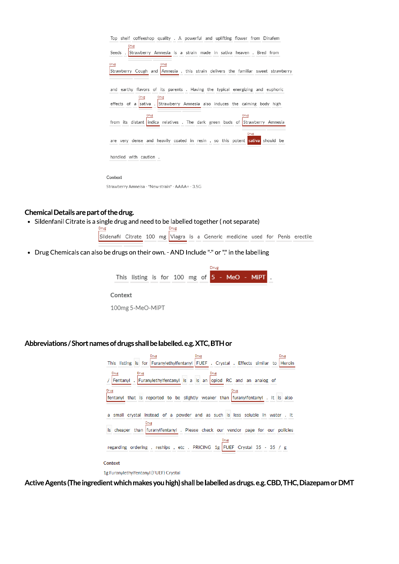

Context

Strawberry Amneisa - \*New strain\* - AAAA+ - 3.5G

### Chemical Details are part of the drug.

• Sildenfanil Citrate is a single drug and need to be labelled together (not separate)

 $Drug$ Drug Sildenafil Citrate 100 mg Viagra is a Generic medicine used for Penis erectile

• Drug Chemicals can also be drugs on their own. - AND Include "-" or "." in the labelling



100mg 5-MeO-MiPT

## Abbreviations / Short names of drugs shall be labelled, e.g. XTC, BTH or

| Drug<br>Drug<br>Drug<br>This listing is for Furanylethylfentanyl FUEF . Crystal . Effects similar to Heroin  |
|--------------------------------------------------------------------------------------------------------------|
| Drug<br>Drug<br>Drug<br>Fentanyl . Furanylethylfentanyl is a is an opiod RC and an analog of<br>Drug<br>Drug |
| fentanyl that is reported to be slightly weaker than furanylfentanyl. It is also                             |
| small crystal instead of a powder and as such is less soluble in water. It<br>Drug                           |
| is cheaper than furanylfentanyl. Please check our vendor page for our policies                               |
| Drug<br>regarding ordering, reships, etc. PRICING 1g FUEF Crystal 35 - 35 / g                                |
| Context                                                                                                      |
| 1g Furanylethylfentanyl (FUEF) Crystal                                                                       |

Active Agents (The ingredient which makes you high) shall be labelled as drugs. e.g. CBD, THC, Diazepam or DMT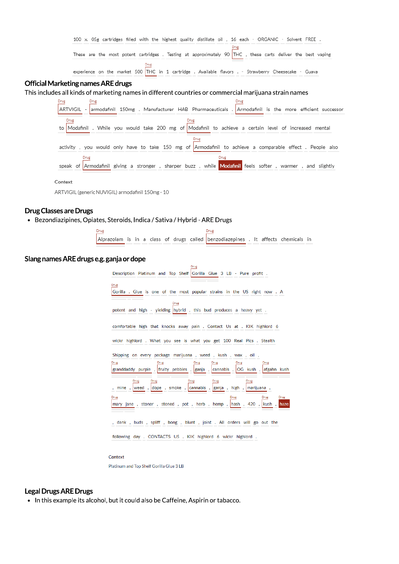|  |  |      |  | 100 x. 05g cartridges filled with the highest quality distillate oil, 16 each - ORGANIC - Solvent FREE.       |  |  |  |  |  |
|--|--|------|--|---------------------------------------------------------------------------------------------------------------|--|--|--|--|--|
|  |  |      |  | These are the most potent cartridges . Testing at approximately 90  THC , these carts deliver the best vaping |  |  |  |  |  |
|  |  | Drug |  | experience on the market 500 THC in 1 cartridge. Available flavors . - Strawberry Cheesecake - Guava          |  |  |  |  |  |

## Official Marketing names ARE drugs

## This includes all kinds of marketing names in different countries or commercial marijuana strain names

| Drug<br>Drug                                                                                                  |
|---------------------------------------------------------------------------------------------------------------|
| ARTVIGIL - armodafinil 150mg . Manufacturer HAB Pharmaceuticals . Armodafinil is the more efficient successor |
| to  Modafinil . While you would take 200 mg of  Modafinil to achieve a certain level of increased mental      |
|                                                                                                               |
| activity, you would only have to take 150 mg of Armodafinil to achieve a comparable effect. People also       |
| Drug                                                                                                          |
| speak of Armodafinil giving a stronger, sharper buzz, while Modafinil feels softer, warmer, and slightly      |
| Context                                                                                                       |

ARTVIGIL (generic NUVIGIL) armodafinil 150mg - 10

### **Drug Classes are Drugs**

· Bezondiazipines, Opiates, Steroids, Indica / Sativa / Hybrid - ARE Drugs

| urug |  |  |  |  |  |  |  |                                                                                    |  |  |  |  |  |
|------|--|--|--|--|--|--|--|------------------------------------------------------------------------------------|--|--|--|--|--|
|      |  |  |  |  |  |  |  | Alprazolam is in a class of drugs called benzodiazepines . It affects chemicals in |  |  |  |  |  |

### Slang names ARE drugs e.g. ganja or dope

| Drug                                                                          |  |  |  |  |  |
|-------------------------------------------------------------------------------|--|--|--|--|--|
| Description Platinum and Top Shelf Gorilla Glue 3 LB - Pure profit.           |  |  |  |  |  |
| Drug                                                                          |  |  |  |  |  |
|                                                                               |  |  |  |  |  |
| Gorilla. Glue is one of the most popular strains in the US right now. A       |  |  |  |  |  |
|                                                                               |  |  |  |  |  |
| Drug                                                                          |  |  |  |  |  |
| potent and high - yielding hybrid, this bud produces a heavy yet.             |  |  |  |  |  |
|                                                                               |  |  |  |  |  |
|                                                                               |  |  |  |  |  |
| comfortable high that knocks away pain . Contact Us at . KIK highlord 6       |  |  |  |  |  |
|                                                                               |  |  |  |  |  |
| wickr highlord. What you see is what you get 100 Real Pics. Stealth           |  |  |  |  |  |
|                                                                               |  |  |  |  |  |
|                                                                               |  |  |  |  |  |
| Shipping on every package marijuana, weed, kush, wax, oil,                    |  |  |  |  |  |
| Drug<br>Drug<br>Drug<br>Drug<br>Drug<br>Drug                                  |  |  |  |  |  |
| granddaddy purple,  fruity pebbles,  ganja,  cannabis,  OG kush,  afgahn kush |  |  |  |  |  |
|                                                                               |  |  |  |  |  |
| Drug<br>Drug<br>Drug<br>Drug<br>Drug                                          |  |  |  |  |  |
|                                                                               |  |  |  |  |  |
| , mine , weed , dope , smoke , cannabis , ganja , high , marijuana ,          |  |  |  |  |  |
| Drug<br>Drug<br>Drug<br>Drug                                                  |  |  |  |  |  |
| mary jane, stoner, stoned, pot, herb, hemp, hash, 420, kush, haze             |  |  |  |  |  |
|                                                                               |  |  |  |  |  |
|                                                                               |  |  |  |  |  |
|                                                                               |  |  |  |  |  |
| , dank, buds, spliff, bong, blunt, joint. All orders will go out the          |  |  |  |  |  |
|                                                                               |  |  |  |  |  |
| following day, CONTACTS US, KIK highlord 6 wickr highlord,                    |  |  |  |  |  |
|                                                                               |  |  |  |  |  |

#### Context

Platinum and Top Shelf Gorilla Glue 3 LB

## **Legal Drugs ARE Drugs**

• In this example its alcohol, but it could also be Caffeine, Aspirin or tabacco.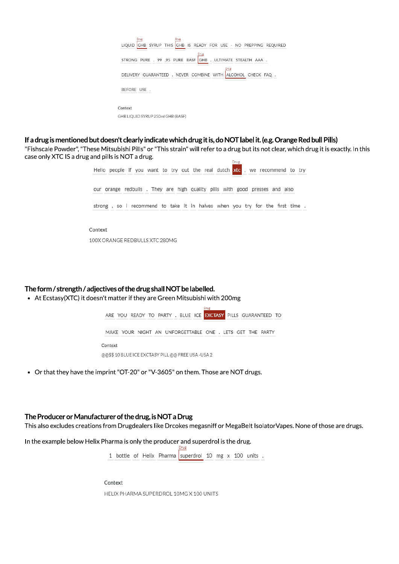| Drug<br>Drug<br>LIQUID GHB SYRUP THIS GHB IS READY FOR USE - NO PREPPING REQUIRED |
|-----------------------------------------------------------------------------------|
| Drug<br>STRONG PURE , 99 .95 PURE BASF GHB , ULTIMATE STEALTH AAA .               |
| Drug<br>DELIVERY GUARANTEED. NEVER COMBINE WITH ALCOHOL CHECK FAQ                 |
| BEFORE USE.                                                                       |
|                                                                                   |
| Context                                                                           |
| GHB LIQUID SYRUP 250ml GHB (BASF)                                                 |

### If a drug is mentioned but doesn't clearly indicate which drug it is, do NOT label it. (e.g. Orange Red bull Pills)

"Fishscale Powder", "These Mitsubishi Pills" or "This strain" will refer to a drug but its not clear, which drug it is exactly. In this case only XTC IS a drug and pills is NOT a drug. Drug

| Hello people if you want to try out the real dutch $xtc$ , we recommend to try |
|--------------------------------------------------------------------------------|
| our orange redbulls. They are high quality pills with good presses and also    |
| strong, so i recommend to take it in halves when you try for the first time.   |
| Context                                                                        |
| 100X ORANGE REDBULLS XTC 280MG                                                 |

The form / strength / adjectives of the drug shall NOT be labelled.

• At Ecstasy(XTC) it doesn't matter if they are Green Mitsubishi with 200mg



• Or that they have the imprint "OT-20" or "V-3605" on them. Those are NOT drugs.

### The Producer or Manufacturer of the drug, is NOT a Drug

This also excludes creations from Drugdealers like Drcokes megasniff or MegaBelt IsolatorVapes. None of those are drugs.

In the example below Helix Pharma is only the producer and superdrol is the drug.

1 bottle of Helix Pharma superdrol 10 mg x 100 units .

Context HELIX PHARMA SUPERDROL 10MG X 100 UNITS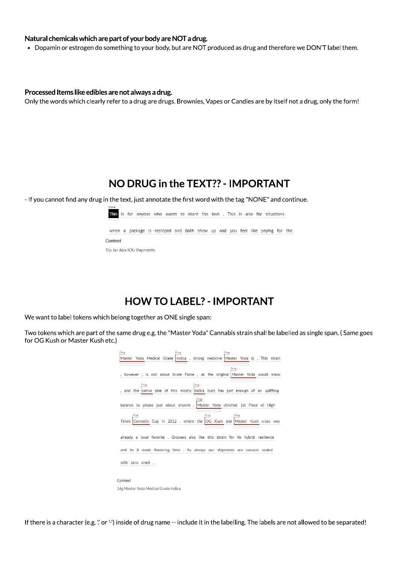### Natural chemicals which are part of your body are NOT a drug.

• Dopamin or estrogen do something to your body, but are NOT produced as drug and therefore we DON'T label them.

### Processed Items like edibles are not always a drug.

Only the words which clearly refer to a drug are drugs. Brownies, Vapes or Candies are by itself not a drug, only the form!

## NO DRUG in the TEXT?? - IMPORTANT

- If you cannot find any drug in the text, just annotate the first word with the tag "NONE" and continue.



This is for anyone who wants to share the love . This is also for situations

when a package is reshiped and both show up and you feel like paying for the Context Tip Jar Aka IOU Payments

## **HOW TO LABEL? - IMPORTANT**

We want to label tokens which belong together as ONE single span:

Two tokens which are part of the same drug e.g. the "Master Yoda" Cannabis strain shall be labelled as single span. (Same goes for OG Kush or Master Kush etc.)

| Drug                                 | Drug                                                                                             | Drug         |  |
|--------------------------------------|--------------------------------------------------------------------------------------------------|--------------|--|
|                                      | Master Yoda Medical Grade Indica, strong medicine Master Yoda is. This strain                    |              |  |
|                                      |                                                                                                  | Drug         |  |
|                                      | however, is not about brute Force, as the original Master Yoda would know                        |              |  |
| Drug                                 | Drug<br>, and the sativa side of this mostly indica buzz has just enough of an uplifting<br>Drug |              |  |
|                                      | balance to please just about anyone . Master Yoda clinched 1st Place at High                     |              |  |
| Drug                                 | Times Cannabis Cup in 2012, where the OG Kush and Master Kush cross was                          | Drug<br>Drug |  |
|                                      | already a local favorite . Growers also like this strain for its hybrid resilience               |              |  |
|                                      | and its 8 week flowering time . As always our shipments are vacuum sealed                        |              |  |
| with zero smell.                     |                                                                                                  |              |  |
| Context                              |                                                                                                  |              |  |
| 14g Master Yoda Medical Grade Indica |                                                                                                  |              |  |

If there is a character (e.g. " or '-') inside of drug name -- include it in the labelling. The labels are not allowed to be separated!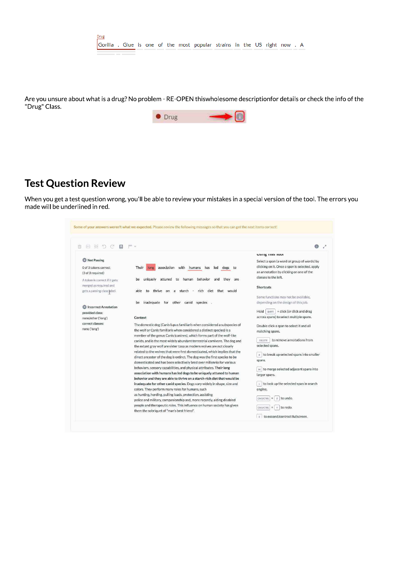

Are you unsure about what is a drug? No problem - RE-OPEN thiswholesome descriptionfor details or check the info of the "Drug" Class.



## **Test Question Review**

When you get a test question wrong, you'll be able to review your mistakes in a special version of the tool. The errors you made will be underlined in red.